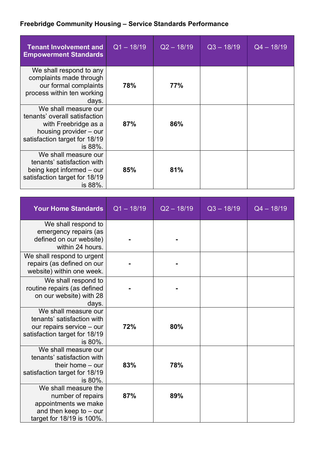## **Freebridge Community Housing – Service Standards Performance**

| <b>Tenant Involvement and</b><br><b>Empowerment Standards</b>                                                                                       | $Q1 - 18/19$ | $Q2 - 18/19$ | $Q3 - 18/19$ | $Q4 - 18/19$ |
|-----------------------------------------------------------------------------------------------------------------------------------------------------|--------------|--------------|--------------|--------------|
| We shall respond to any<br>complaints made through<br>our formal complaints<br>process within ten working<br>days.                                  | 78%          | 77%          |              |              |
| We shall measure our<br>tenants' overall satisfaction<br>with Freebridge as a<br>housing provider – our<br>satisfaction target for 18/19<br>is 88%. | 87%          | 86%          |              |              |
| We shall measure our<br>tenants' satisfaction with<br>being kept informed – our<br>satisfaction target for 18/19<br>is 88%.                         | 85%          | 81%          |              |              |

| <b>Your Home Standards</b>                                                                                                  | $Q1 - 18/19$ | $Q2 - 18/19$ | $Q3 - 18/19$ | $Q4 - 18/19$ |
|-----------------------------------------------------------------------------------------------------------------------------|--------------|--------------|--------------|--------------|
| We shall respond to<br>emergency repairs (as<br>defined on our website)<br>within 24 hours.                                 |              |              |              |              |
| We shall respond to urgent<br>repairs (as defined on our<br>website) within one week.                                       |              |              |              |              |
| We shall respond to<br>routine repairs (as defined<br>on our website) with 28<br>days.                                      |              |              |              |              |
| We shall measure our<br>tenants' satisfaction with<br>our repairs service - our<br>satisfaction target for 18/19<br>is 80%. | 72%          | 80%          |              |              |
| We shall measure our<br>tenants' satisfaction with<br>their home $-$ our<br>satisfaction target for 18/19<br>is 80%.        | 83%          | 78%          |              |              |
| We shall measure the<br>number of repairs<br>appointments we make<br>and then keep to $-$ our<br>target for 18/19 is 100%.  | 87%          | 89%          |              |              |